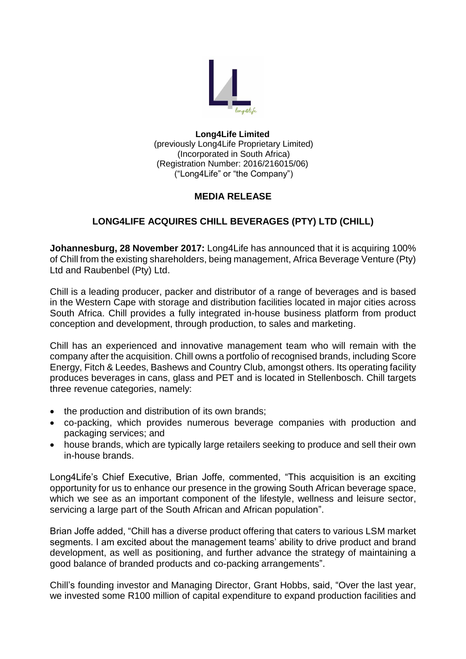

#### **Long4Life Limited** (previously Long4Life Proprietary Limited) (Incorporated in South Africa) (Registration Number: 2016/216015/06) ("Long4Life" or "the Company")

## **MEDIA RELEASE**

# **LONG4LIFE ACQUIRES CHILL BEVERAGES (PTY) LTD (CHILL)**

**Johannesburg, 28 November 2017:** Long4Life has announced that it is acquiring 100% of Chill from the existing shareholders, being management, Africa Beverage Venture (Pty) Ltd and Raubenbel (Pty) Ltd.

Chill is a leading producer, packer and distributor of a range of beverages and is based in the Western Cape with storage and distribution facilities located in major cities across South Africa. Chill provides a fully integrated in-house business platform from product conception and development, through production, to sales and marketing.

Chill has an experienced and innovative management team who will remain with the company after the acquisition. Chill owns a portfolio of recognised brands, including Score Energy, Fitch & Leedes, Bashews and Country Club, amongst others. Its operating facility produces beverages in cans, glass and PET and is located in Stellenbosch. Chill targets three revenue categories, namely:

- the production and distribution of its own brands;
- co-packing, which provides numerous beverage companies with production and packaging services; and
- house brands, which are typically large retailers seeking to produce and sell their own in-house brands.

Long4Life's Chief Executive, Brian Joffe, commented, "This acquisition is an exciting opportunity for us to enhance our presence in the growing South African beverage space, which we see as an important component of the lifestyle, wellness and leisure sector, servicing a large part of the South African and African population".

Brian Joffe added, "Chill has a diverse product offering that caters to various LSM market segments. I am excited about the management teams' ability to drive product and brand development, as well as positioning, and further advance the strategy of maintaining a good balance of branded products and co-packing arrangements".

Chill's founding investor and Managing Director, Grant Hobbs, said, "Over the last year, we invested some R100 million of capital expenditure to expand production facilities and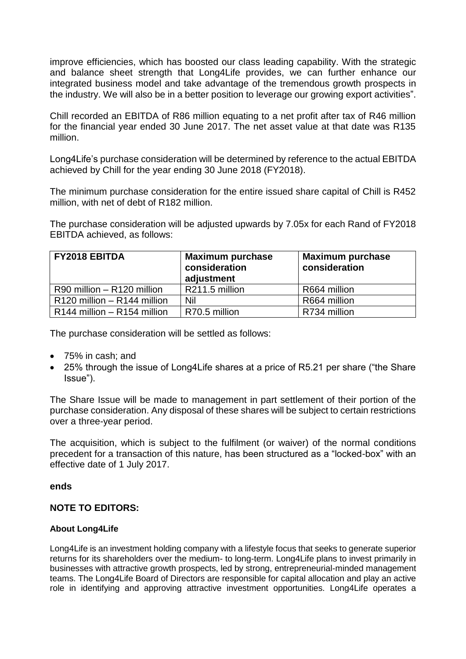improve efficiencies, which has boosted our class leading capability. With the strategic and balance sheet strength that Long4Life provides, we can further enhance our integrated business model and take advantage of the tremendous growth prospects in the industry. We will also be in a better position to leverage our growing export activities".

Chill recorded an EBITDA of R86 million equating to a net profit after tax of R46 million for the financial year ended 30 June 2017. The net asset value at that date was R135 million.

Long4Life's purchase consideration will be determined by reference to the actual EBITDA achieved by Chill for the year ending 30 June 2018 (FY2018).

The minimum purchase consideration for the entire issued share capital of Chill is R452 million, with net of debt of R182 million.

The purchase consideration will be adjusted upwards by 7.05x for each Rand of FY2018 EBITDA achieved, as follows:

| <b>FY2018 EBITDA</b>          | <b>Maximum purchase</b><br>consideration<br>adjustment | <b>Maximum purchase</b><br>consideration |
|-------------------------------|--------------------------------------------------------|------------------------------------------|
| R90 million - R120 million    | R211.5 million                                         | R664 million                             |
| $R120$ million - R144 million | Nil                                                    | R664 million                             |
| $R144$ million – R154 million | R70.5 million                                          | R734 million                             |

The purchase consideration will be settled as follows:

- 75% in cash: and
- 25% through the issue of Long4Life shares at a price of R5.21 per share ("the Share Issue").

The Share Issue will be made to management in part settlement of their portion of the purchase consideration. Any disposal of these shares will be subject to certain restrictions over a three-year period.

The acquisition, which is subject to the fulfilment (or waiver) of the normal conditions precedent for a transaction of this nature, has been structured as a "locked-box" with an effective date of 1 July 2017.

## **ends**

## **NOTE TO EDITORS:**

#### **About Long4Life**

Long4Life is an investment holding company with a lifestyle focus that seeks to generate superior returns for its shareholders over the medium- to long-term. Long4Life plans to invest primarily in businesses with attractive growth prospects, led by strong, entrepreneurial-minded management teams. The Long4Life Board of Directors are responsible for capital allocation and play an active role in identifying and approving attractive investment opportunities. Long4Life operates a